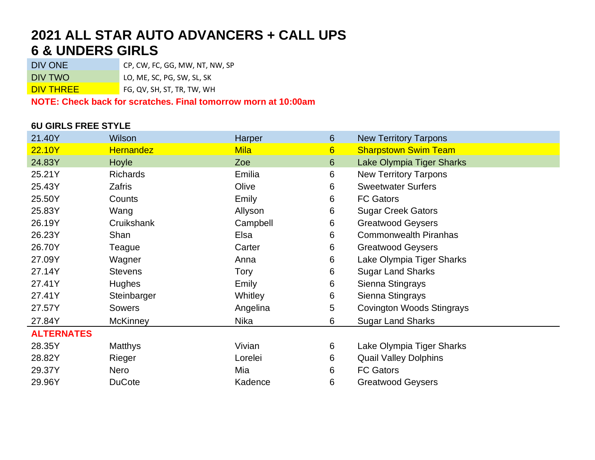## **2021 ALL STAR AUTO ADVANCERS + CALL UPS 6 & UNDERS GIRLS**

DIV ONE CP, CW, FC, GG, MW, NT, NW, SP

DIV TWO LO, ME, SC, PG, SW, SL, SK

DIV THREE FG, QV, SH, ST, TR, TW, WH

**NOTE: Check back for scratches. Final tomorrow morn at 10:00am**

#### **6U GIRLS FREE STYLE**

| 21.40Y            | Wilson           | Harper      | 6              | <b>New Territory Tarpons</b>     |
|-------------------|------------------|-------------|----------------|----------------------------------|
| 22.10Y            | <b>Hernandez</b> | <b>Mila</b> | $6\phantom{1}$ | <b>Sharpstown Swim Team</b>      |
| 24.83Y            | Hoyle            | Zoe         | 6              | Lake Olympia Tiger Sharks        |
| 25.21Y            | <b>Richards</b>  | Emilia      | 6              | <b>New Territory Tarpons</b>     |
| 25.43Y            | <b>Zafris</b>    | Olive       | 6              | <b>Sweetwater Surfers</b>        |
| 25.50Y            | Counts           | Emily       | 6              | <b>FC Gators</b>                 |
| 25.83Y            | Wang             | Allyson     | 6              | <b>Sugar Creek Gators</b>        |
| 26.19Y            | Cruikshank       | Campbell    | 6              | <b>Greatwood Geysers</b>         |
| 26.23Y            | Shan             | Elsa        | 6              | <b>Commonwealth Piranhas</b>     |
| 26.70Y            | Teague           | Carter      | 6              | <b>Greatwood Geysers</b>         |
| 27.09Y            | Wagner           | Anna        | 6              | Lake Olympia Tiger Sharks        |
| 27.14Y            | <b>Stevens</b>   | Tory        | 6              | <b>Sugar Land Sharks</b>         |
| 27.41Y            | <b>Hughes</b>    | Emily       | 6              | Sienna Stingrays                 |
| 27.41Y            | Steinbarger      | Whitley     | 6              | Sienna Stingrays                 |
| 27.57Y            | Sowers           | Angelina    | 5              | <b>Covington Woods Stingrays</b> |
| 27.84Y            | <b>McKinney</b>  | Nika        | 6              | <b>Sugar Land Sharks</b>         |
| <b>ALTERNATES</b> |                  |             |                |                                  |
| 28.35Y            | <b>Matthys</b>   | Vivian      | 6              | Lake Olympia Tiger Sharks        |
| 28.82Y            | Rieger           | Lorelei     | 6              | <b>Quail Valley Dolphins</b>     |
| 29.37Y            | Nero             | Mia         | 6              | <b>FC Gators</b>                 |
| 29.96Y            | <b>DuCote</b>    | Kadence     | 6              | <b>Greatwood Geysers</b>         |